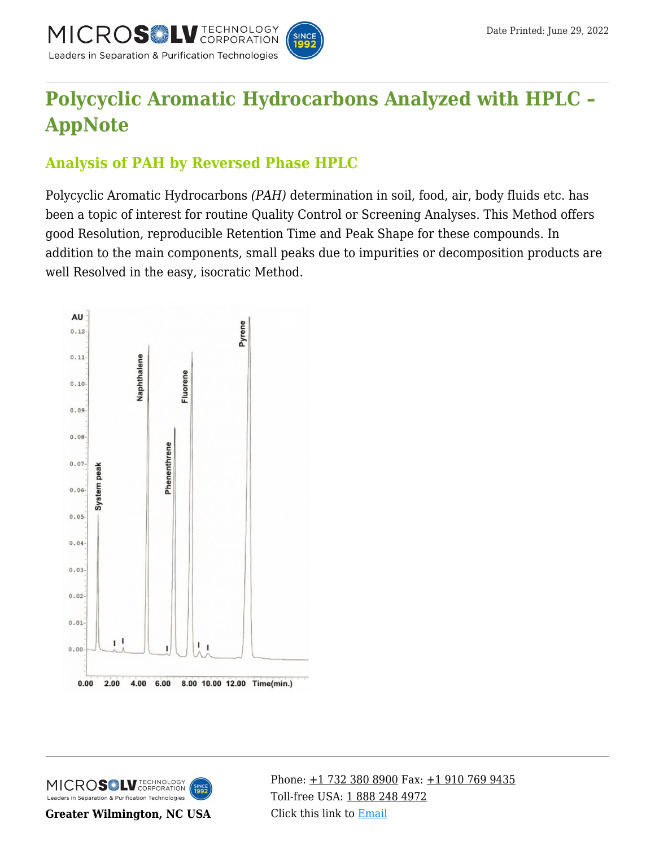

# **[Polycyclic Aromatic Hydrocarbons Analyzed with HPLC –](https://kb.mtc-usa.com/article/aa-00839/46/) [AppNote](https://kb.mtc-usa.com/article/aa-00839/46/)**

## **Analysis of PAH by Reversed Phase HPLC**

Polycyclic Aromatic Hydrocarbons *(PAH)* determination in soil, food, air, body fluids etc. has been a topic of interest for routine Quality Control or Screening Analyses. This Method offers good Resolution, reproducible Retention Time and Peak Shape for these compounds. In addition to the main components, small peaks due to impurities or decomposition products are well Resolved in the easy, isocratic Method.





**Greater Wilmington, NC USA**

Phone:  $\pm$ 1 732 380 8900 Fax:  $\pm$ 1 910 769 9435 Toll-free USA: [1 888 248 4972](#page--1-0) Click this link to [Email](https://www.mtc-usa.com/contact)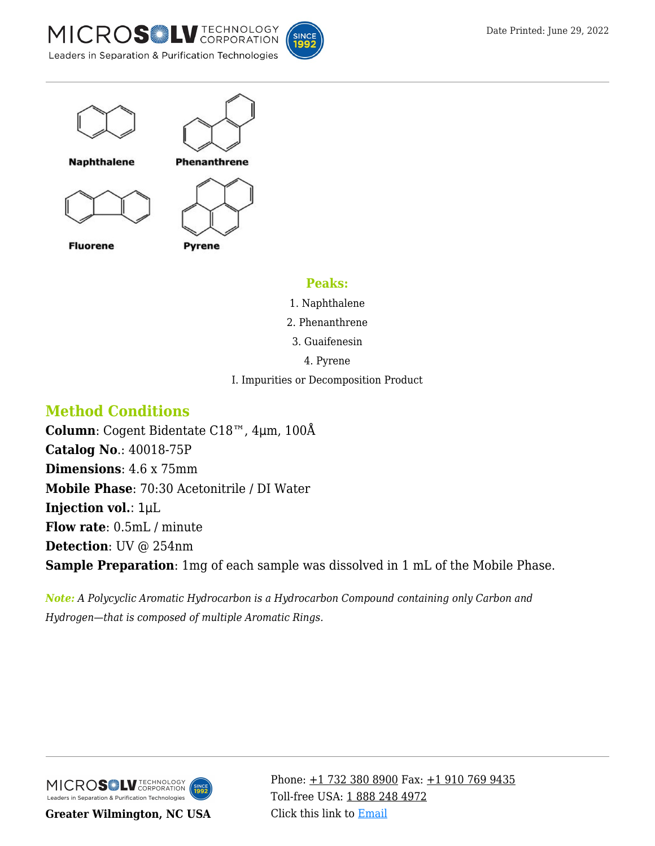





#### **Peaks:**

- 1. Naphthalene
- 2. Phenanthrene
- 3. Guaifenesin
	- 4. Pyrene
- I. Impurities or Decomposition Product

### **Method Conditions**

**Column**: Cogent Bidentate C18™, 4μm, 100Å **Catalog No**.: 40018-75P **Dimensions**: 4.6 x 75mm **Mobile Phase**: 70:30 Acetonitrile / DI Water **Injection vol.**: 1μL **Flow rate**: 0.5mL / minute **Detection**: UV @ 254nm **Sample Preparation**: 1mg of each sample was dissolved in 1 mL of the Mobile Phase.

*Note: A Polycyclic Aromatic Hydrocarbon is a Hydrocarbon Compound containing only Carbon and Hydrogen—that is composed of multiple Aromatic Rings.* 



**Greater Wilmington, NC USA**

Phone:  $\pm$ 1 732 380 8900 Fax:  $\pm$ 1 910 769 9435 Toll-free USA: [1 888 248 4972](#page--1-0) Click this link to [Email](https://www.mtc-usa.com/contact)